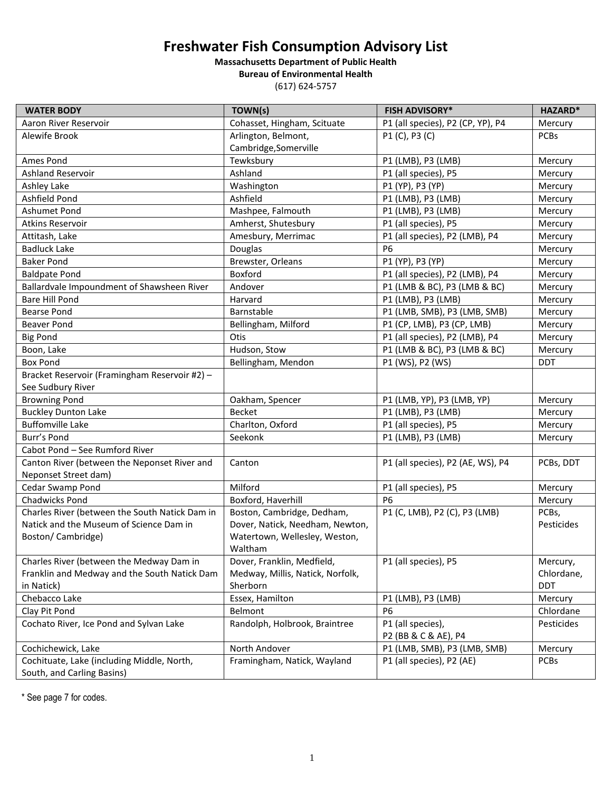## **Freshwater Fish Consumption Advisory List**

**Massachusetts Department of Public Health Bureau of Environmental Health**

(617) 624-5757

| <b>WATER BODY</b>                              | TOWN(s)                                                          | <b>FISH ADVISORY*</b>             | HAZARD*     |
|------------------------------------------------|------------------------------------------------------------------|-----------------------------------|-------------|
| Aaron River Reservoir                          | Cohasset, Hingham, Scituate<br>P1 (all species), P2 (CP, YP), P4 |                                   | Mercury     |
| Alewife Brook                                  | Arlington, Belmont,<br>P1 (C), P3 (C)                            |                                   | <b>PCBs</b> |
|                                                | Cambridge, Somerville                                            |                                   |             |
| Ames Pond                                      | Tewksbury                                                        | P1 (LMB), P3 (LMB)                | Mercury     |
| <b>Ashland Reservoir</b>                       | Ashland                                                          | P1 (all species), P5              | Mercury     |
| Ashley Lake                                    | Washington                                                       | P1 (YP), P3 (YP)                  | Mercury     |
| Ashfield Pond                                  | Ashfield                                                         | P1 (LMB), P3 (LMB)                | Mercury     |
| Ashumet Pond                                   | Mashpee, Falmouth                                                | P1 (LMB), P3 (LMB)                | Mercury     |
| <b>Atkins Reservoir</b>                        | Amherst, Shutesbury                                              | P1 (all species), P5              | Mercury     |
| Attitash, Lake                                 | Amesbury, Merrimac                                               | P1 (all species), P2 (LMB), P4    | Mercury     |
| <b>Badluck Lake</b>                            | Douglas                                                          | <b>P6</b>                         | Mercury     |
| <b>Baker Pond</b>                              | Brewster, Orleans                                                | P1 (YP), P3 (YP)                  | Mercury     |
| <b>Baldpate Pond</b>                           | Boxford                                                          | P1 (all species), P2 (LMB), P4    | Mercury     |
| Ballardvale Impoundment of Shawsheen River     | Andover                                                          | P1 (LMB & BC), P3 (LMB & BC)      | Mercury     |
| <b>Bare Hill Pond</b>                          | Harvard                                                          | P1 (LMB), P3 (LMB)                | Mercury     |
| <b>Bearse Pond</b>                             | Barnstable                                                       | P1 (LMB, SMB), P3 (LMB, SMB)      | Mercury     |
| <b>Beaver Pond</b>                             | Bellingham, Milford                                              | P1 (CP, LMB), P3 (CP, LMB)        | Mercury     |
| <b>Big Pond</b>                                | Otis                                                             | P1 (all species), P2 (LMB), P4    | Mercury     |
| Boon, Lake                                     | Hudson, Stow                                                     | P1 (LMB & BC), P3 (LMB & BC)      | Mercury     |
| <b>Box Pond</b>                                | Bellingham, Mendon                                               | P1 (WS), P2 (WS)                  | <b>DDT</b>  |
| Bracket Reservoir (Framingham Reservoir #2) -  |                                                                  |                                   |             |
| See Sudbury River                              |                                                                  |                                   |             |
| <b>Browning Pond</b>                           | Oakham, Spencer                                                  | P1 (LMB, YP), P3 (LMB, YP)        |             |
| <b>Buckley Dunton Lake</b>                     | <b>Becket</b>                                                    | P1 (LMB), P3 (LMB)                |             |
| <b>Buffomville Lake</b>                        | Charlton, Oxford                                                 | P1 (all species), P5              |             |
| Burr's Pond                                    | Seekonk                                                          | P1 (LMB), P3 (LMB)                | Mercury     |
| Cabot Pond - See Rumford River                 |                                                                  |                                   |             |
| Canton River (between the Neponset River and   | Canton                                                           | P1 (all species), P2 (AE, WS), P4 | PCBs, DDT   |
| Neponset Street dam)                           |                                                                  |                                   |             |
| Cedar Swamp Pond                               | Milford                                                          | P1 (all species), P5              | Mercury     |
| Chadwicks Pond                                 | Boxford, Haverhill                                               | <b>P6</b>                         | Mercury     |
| Charles River (between the South Natick Dam in | Boston, Cambridge, Dedham,                                       | P1 (C, LMB), P2 (C), P3 (LMB)     | PCBs,       |
| Natick and the Museum of Science Dam in        | Dover, Natick, Needham, Newton,                                  |                                   | Pesticides  |
| Boston/Cambridge)                              | Watertown, Wellesley, Weston,                                    |                                   |             |
|                                                | Waltham                                                          |                                   |             |
| Charles River (between the Medway Dam in       | Dover, Franklin, Medfield,                                       | P1 (all species), P5              | Mercury,    |
| Franklin and Medway and the South Natick Dam   | Medway, Millis, Natick, Norfolk,                                 |                                   | Chlordane,  |
| in Natick)                                     | Sherborn                                                         |                                   | <b>DDT</b>  |
| Chebacco Lake                                  | Essex, Hamilton                                                  | P1 (LMB), P3 (LMB)                | Mercury     |
| Clay Pit Pond                                  | Belmont                                                          | <b>P6</b>                         | Chlordane   |
| Cochato River, Ice Pond and Sylvan Lake        | Randolph, Holbrook, Braintree                                    | P1 (all species),                 | Pesticides  |
|                                                |                                                                  | P2 (BB & C & AE), P4              |             |
| Cochichewick, Lake                             | North Andover                                                    | P1 (LMB, SMB), P3 (LMB, SMB)      | Mercury     |
| Cochituate, Lake (including Middle, North,     | Framingham, Natick, Wayland                                      | P1 (all species), P2 (AE)         | PCBs        |
| South, and Carling Basins)                     |                                                                  |                                   |             |

\* See page 7 for codes.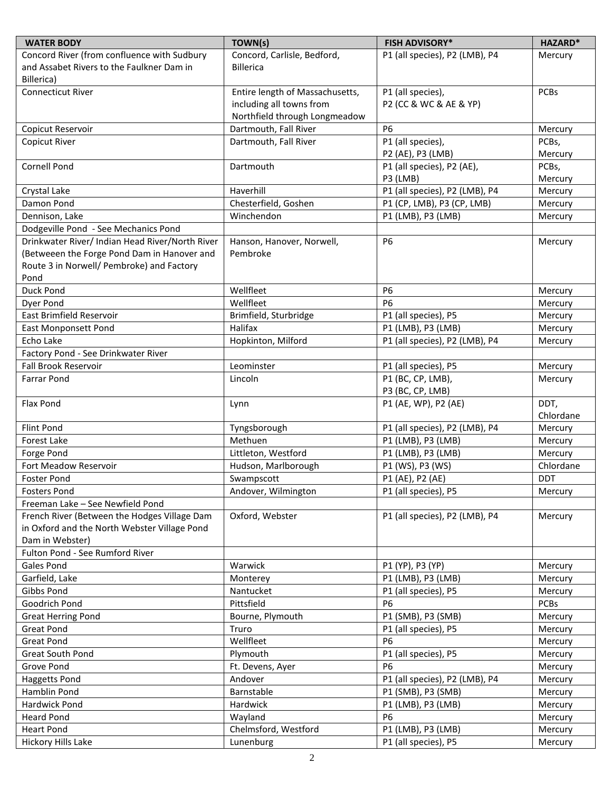| <b>WATER BODY</b>                                                                            | TOWN(s)                            | <b>FISH ADVISORY*</b>                            | HAZARD*            |
|----------------------------------------------------------------------------------------------|------------------------------------|--------------------------------------------------|--------------------|
| Concord River (from confluence with Sudbury                                                  | Concord, Carlisle, Bedford,        | P1 (all species), P2 (LMB), P4                   | Mercury            |
| and Assabet Rivers to the Faulkner Dam in                                                    | <b>Billerica</b>                   |                                                  |                    |
| Billerica)                                                                                   |                                    |                                                  |                    |
| <b>Connecticut River</b>                                                                     | Entire length of Massachusetts,    | P1 (all species),                                | <b>PCBs</b>        |
|                                                                                              | including all towns from           | P2 (CC & WC & AE & YP)                           |                    |
|                                                                                              | Northfield through Longmeadow      |                                                  |                    |
| Copicut Reservoir                                                                            | Dartmouth, Fall River              | <b>P6</b>                                        | Mercury            |
| Copicut River                                                                                | Dartmouth, Fall River              | P1 (all species),                                | PCBs,              |
|                                                                                              |                                    | P2 (AE), P3 (LMB)                                | Mercury            |
| <b>Cornell Pond</b>                                                                          | Dartmouth                          | P1 (all species), P2 (AE),                       | PCBs,              |
|                                                                                              | Haverhill                          | P3 (LMB)                                         | Mercury            |
| Crystal Lake<br>Damon Pond                                                                   | Chesterfield, Goshen               | P1 (all species), P2 (LMB), P4                   | Mercury            |
| Dennison, Lake                                                                               | Winchendon                         | P1 (CP, LMB), P3 (CP, LMB)<br>P1 (LMB), P3 (LMB) | Mercury<br>Mercury |
| Dodgeville Pond - See Mechanics Pond                                                         |                                    |                                                  |                    |
| Drinkwater River/ Indian Head River/North River                                              | Hanson, Hanover, Norwell,          | <b>P6</b>                                        | Mercury            |
| (Betweeen the Forge Pond Dam in Hanover and                                                  | Pembroke                           |                                                  |                    |
| Route 3 in Norwell/ Pembroke) and Factory                                                    |                                    |                                                  |                    |
| Pond                                                                                         |                                    |                                                  |                    |
| Duck Pond                                                                                    | Wellfleet                          | <b>P6</b>                                        | Mercury            |
| Dyer Pond                                                                                    | Wellfleet                          | <b>P6</b>                                        | Mercury            |
| East Brimfield Reservoir                                                                     | Brimfield, Sturbridge              | P1 (all species), P5                             | Mercury            |
| <b>East Monponsett Pond</b>                                                                  | Halifax                            | P1 (LMB), P3 (LMB)                               | Mercury            |
| Echo Lake                                                                                    | Hopkinton, Milford                 | P1 (all species), P2 (LMB), P4                   | Mercury            |
| Factory Pond - See Drinkwater River                                                          |                                    |                                                  |                    |
| Fall Brook Reservoir                                                                         | P1 (all species), P5<br>Leominster |                                                  | Mercury            |
| <b>Farrar Pond</b>                                                                           | Lincoln                            | P1 (BC, CP, LMB),                                | Mercury            |
|                                                                                              |                                    | P3 (BC, CP, LMB)                                 |                    |
| Flax Pond                                                                                    | Lynn                               | P1 (AE, WP), P2 (AE)                             | DDT,               |
|                                                                                              |                                    |                                                  | Chlordane          |
| Flint Pond                                                                                   | Tyngsborough                       | P1 (all species), P2 (LMB), P4                   | Mercury            |
| Forest Lake                                                                                  | Methuen                            | P1 (LMB), P3 (LMB)                               | Mercury            |
| Forge Pond                                                                                   | Littleton, Westford                | P1 (LMB), P3 (LMB)                               | Mercury            |
| Fort Meadow Reservoir                                                                        | Hudson, Marlborough                | P1 (WS), P3 (WS)                                 | Chlordane          |
| <b>Foster Pond</b>                                                                           | Swampscott                         | P1 (AE), P2 (AE)                                 | <b>DDT</b>         |
| <b>Fosters Pond</b>                                                                          | Andover, Wilmington                | P1 (all species), P5                             | Mercury            |
| Freeman Lake - See Newfield Pond                                                             |                                    |                                                  |                    |
| French River (Between the Hodges Village Dam<br>in Oxford and the North Webster Village Pond | Oxford, Webster                    | P1 (all species), P2 (LMB), P4                   | Mercury            |
| Dam in Webster)                                                                              |                                    |                                                  |                    |
| Fulton Pond - See Rumford River                                                              |                                    |                                                  |                    |
| Gales Pond                                                                                   | Warwick                            | P1 (YP), P3 (YP)                                 | Mercury            |
| Garfield, Lake                                                                               | Monterey                           | P1 (LMB), P3 (LMB)                               | Mercury            |
| Gibbs Pond                                                                                   | Nantucket                          | P1 (all species), P5                             | Mercury            |
| Goodrich Pond                                                                                | Pittsfield                         | <b>P6</b>                                        | <b>PCBs</b>        |
| <b>Great Herring Pond</b>                                                                    | Bourne, Plymouth                   | P1 (SMB), P3 (SMB)                               | Mercury            |
| <b>Great Pond</b>                                                                            | Truro                              | P1 (all species), P5                             | Mercury            |
| <b>Great Pond</b>                                                                            | Wellfleet                          | <b>P6</b>                                        | Mercury            |
| Great South Pond                                                                             | Plymouth                           | P1 (all species), P5                             | Mercury            |
| Grove Pond                                                                                   | Ft. Devens, Ayer                   | <b>P6</b>                                        | Mercury            |
| <b>Haggetts Pond</b>                                                                         | Andover                            | P1 (all species), P2 (LMB), P4                   | Mercury            |
| Hamblin Pond                                                                                 | Barnstable                         | P1 (SMB), P3 (SMB)                               | Mercury            |
| Hardwick Pond                                                                                | Hardwick                           | P1 (LMB), P3 (LMB)                               | Mercury            |
| <b>Heard Pond</b>                                                                            | Wayland                            | <b>P6</b>                                        | Mercury            |
| <b>Heart Pond</b>                                                                            | Chelmsford, Westford               | P1 (LMB), P3 (LMB)                               | Mercury            |
| Hickory Hills Lake                                                                           | Lunenburg                          | P1 (all species), P5                             | Mercury            |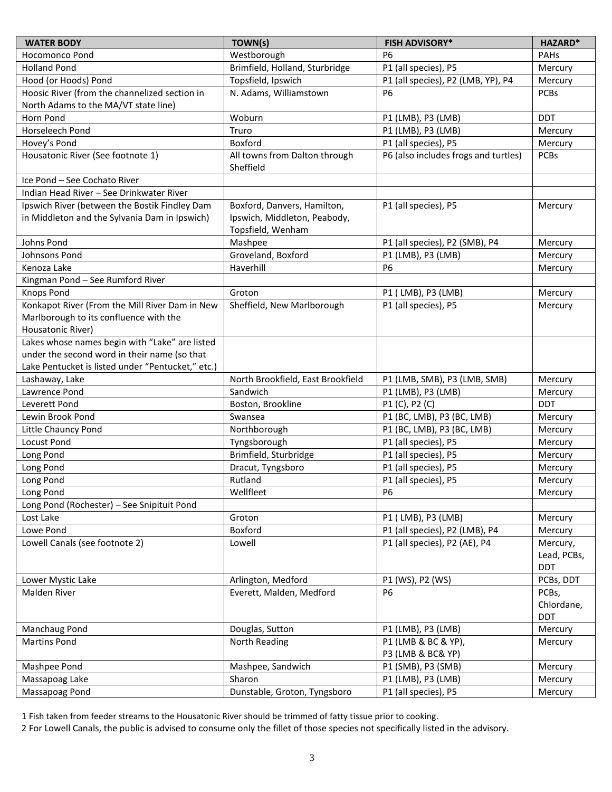| <b>WATER BODY</b>                                                                                                                                   | TOWN(s)                                                                          | <b>FISH ADVISORY*</b>                      | <b>HAZARD*</b>                    |
|-----------------------------------------------------------------------------------------------------------------------------------------------------|----------------------------------------------------------------------------------|--------------------------------------------|-----------------------------------|
| Hocomonco Pond                                                                                                                                      | Westborough<br>P <sub>6</sub>                                                    |                                            | PAHS                              |
| <b>Holland Pond</b>                                                                                                                                 | Brimfield, Holland, Sturbridge                                                   | P1 (all species), P5                       |                                   |
| Hood (or Hoods) Pond                                                                                                                                | P1 (all species), P2 (LMB, YP), P4<br>Topsfield, Ipswich                         |                                            | Mercury                           |
| Hoosic River (from the channelized section in                                                                                                       | N. Adams, Williamstown<br><b>P6</b>                                              |                                            | <b>PCBs</b>                       |
| North Adams to the MA/VT state line)                                                                                                                |                                                                                  |                                            |                                   |
| Horn Pond                                                                                                                                           | Woburn                                                                           | P1 (LMB), P3 (LMB)                         | <b>DDT</b>                        |
| Horseleech Pond                                                                                                                                     | Truro                                                                            | P1 (LMB), P3 (LMB)                         | Mercury                           |
| Hovey's Pond                                                                                                                                        | Boxford                                                                          | P1 (all species), P5                       | Mercury                           |
| Housatonic River (See footnote 1)                                                                                                                   | All towns from Dalton through<br>Sheffield                                       | P6 (also includes frogs and turtles)       | PCBs                              |
| Ice Pond - See Cochato River                                                                                                                        |                                                                                  |                                            |                                   |
| Indian Head River - See Drinkwater River                                                                                                            |                                                                                  |                                            |                                   |
| Ipswich River (between the Bostik Findley Dam<br>in Middleton and the Sylvania Dam in Ipswich)                                                      | Boxford, Danvers, Hamilton,<br>Ipswich, Middleton, Peabody,<br>Topsfield, Wenham | P1 (all species), P5                       | Mercury                           |
| Johns Pond                                                                                                                                          | Mashpee                                                                          | P1 (all species), P2 (SMB), P4             | Mercury                           |
| Johnsons Pond                                                                                                                                       | Groveland, Boxford                                                               | P1 (LMB), P3 (LMB)                         | Mercury                           |
| Kenoza Lake                                                                                                                                         | Haverhill                                                                        | <b>P6</b>                                  | Mercury                           |
| Kingman Pond - See Rumford River                                                                                                                    |                                                                                  |                                            |                                   |
| <b>Knops Pond</b>                                                                                                                                   | Groton                                                                           | P1 (LMB), P3 (LMB)                         | Mercury                           |
| Konkapot River (From the Mill River Dam in New<br>Marlborough to its confluence with the<br>Housatonic River)                                       | Sheffield, New Marlborough                                                       | P1 (all species), P5                       | Mercury                           |
| Lakes whose names begin with "Lake" are listed<br>under the second word in their name (so that<br>Lake Pentucket is listed under "Pentucket," etc.) |                                                                                  |                                            |                                   |
| Lashaway, Lake                                                                                                                                      | North Brookfield, East Brookfield                                                | P1 (LMB, SMB), P3 (LMB, SMB)               | Mercury                           |
| Lawrence Pond                                                                                                                                       | Sandwich                                                                         | P1 (LMB), P3 (LMB)                         | Mercury                           |
| Leverett Pond                                                                                                                                       | Boston, Brookline                                                                | P1 (C), P2 (C)                             | <b>DDT</b>                        |
| Lewin Brook Pond                                                                                                                                    | Swansea                                                                          | P1 (BC, LMB), P3 (BC, LMB)                 |                                   |
| Little Chauncy Pond                                                                                                                                 | Northborough                                                                     | P1 (BC, LMB), P3 (BC, LMB)                 |                                   |
| <b>Locust Pond</b>                                                                                                                                  | Tyngsborough                                                                     | P1 (all species), P5                       | Mercury                           |
| Long Pond                                                                                                                                           | Brimfield, Sturbridge                                                            | P1 (all species), P5                       | Mercury                           |
| Long Pond                                                                                                                                           | Dracut, Tyngsboro                                                                | P1 (all species), P5                       | Mercury                           |
| Long Pond                                                                                                                                           | Rutland                                                                          | P1 (all species), P5                       | Mercury                           |
| Long Pond                                                                                                                                           | Wellfleet                                                                        | <b>P6</b>                                  |                                   |
| Long Pond (Rochester) - See Snipituit Pond                                                                                                          |                                                                                  |                                            |                                   |
| Lost Lake                                                                                                                                           | Groton                                                                           | P1 (LMB), P3 (LMB)                         |                                   |
| Lowe Pond                                                                                                                                           | Boxford                                                                          | P1 (all species), P2 (LMB), P4             |                                   |
| Lowell Canals (see footnote 2)                                                                                                                      | Lowell                                                                           | P1 (all species), P2 (AE), P4              | Mercury,<br>Lead, PCBs,<br>DDT    |
| Lower Mystic Lake                                                                                                                                   | Arlington, Medford<br>P1 (WS), P2 (WS)                                           |                                            | PCBs, DDT                         |
| Malden River                                                                                                                                        | Everett, Malden, Medford                                                         | <b>P6</b>                                  | PCBs,<br>Chlordane,<br><b>DDT</b> |
| Manchaug Pond                                                                                                                                       | Douglas, Sutton                                                                  | P1 (LMB), P3 (LMB)                         | Mercury                           |
| <b>Martins Pond</b>                                                                                                                                 | P1 (LMB & BC & YP),<br>North Reading<br>P3 (LMB & BC& YP)                        |                                            | Mercury                           |
| Mashpee Pond                                                                                                                                        | Mashpee, Sandwich<br>P1 (SMB), P3 (SMB)                                          |                                            | Mercury                           |
| Massapoag Lake                                                                                                                                      | Sharon                                                                           | P1 (LMB), P3 (LMB)<br>P1 (all species), P5 | Mercury                           |
| Massapoag Pond                                                                                                                                      | Dunstable, Groton, Tyngsboro                                                     | Mercury                                    |                                   |

1 Fish taken from feeder streams to the Housatonic River should be trimmed of fatty tissue prior to cooking.

2 For Lowell Canals, the public is advised to consume only the fillet of those species not specifically listed in the advisory.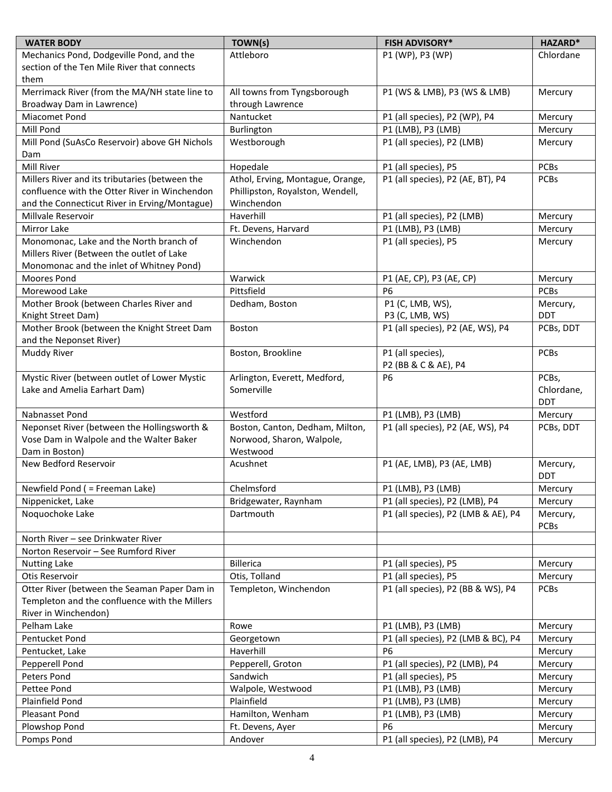| <b>WATER BODY</b>                                          | TOWN(s)                                          | <b>FISH ADVISORY*</b>               | HAZARD*                |
|------------------------------------------------------------|--------------------------------------------------|-------------------------------------|------------------------|
| Mechanics Pond, Dodgeville Pond, and the                   | Attleboro<br>P1 (WP), P3 (WP)                    |                                     | Chlordane              |
| section of the Ten Mile River that connects                |                                                  |                                     |                        |
| them                                                       |                                                  |                                     |                        |
| Merrimack River (from the MA/NH state line to              | All towns from Tyngsborough                      | P1 (WS & LMB), P3 (WS & LMB)        | Mercury                |
| Broadway Dam in Lawrence)                                  | through Lawrence                                 |                                     |                        |
| Miacomet Pond                                              | Nantucket                                        | P1 (all species), P2 (WP), P4       | Mercury                |
| Mill Pond                                                  | Burlington                                       | P1 (LMB), P3 (LMB)                  | Mercury                |
| Mill Pond (SuAsCo Reservoir) above GH Nichols              | Westborough                                      | P1 (all species), P2 (LMB)          | Mercury                |
| Dam                                                        |                                                  |                                     |                        |
| Mill River                                                 | Hopedale                                         | P1 (all species), P5                | <b>PCBs</b>            |
| Millers River and its tributaries (between the             | Athol, Erving, Montague, Orange,                 | P1 (all species), P2 (AE, BT), P4   | PCBs                   |
| confluence with the Otter River in Winchendon              | Phillipston, Royalston, Wendell,                 |                                     |                        |
| and the Connecticut River in Erving/Montague)              | Winchendon                                       |                                     |                        |
| Millvale Reservoir                                         | Haverhill                                        | P1 (all species), P2 (LMB)          | Mercury                |
| Mirror Lake                                                | Ft. Devens, Harvard                              | P1 (LMB), P3 (LMB)                  | Mercury                |
| Monomonac, Lake and the North branch of                    | Winchendon                                       | P1 (all species), P5                | Mercury                |
| Millers River (Between the outlet of Lake                  |                                                  |                                     |                        |
| Monomonac and the inlet of Whitney Pond)                   |                                                  |                                     |                        |
| Moores Pond                                                | Warwick                                          | P1 (AE, CP), P3 (AE, CP)            | Mercury                |
| Morewood Lake                                              | Pittsfield                                       | <b>P6</b>                           | <b>PCBs</b>            |
| Mother Brook (between Charles River and                    | Dedham, Boston                                   | P1 (C, LMB, WS),                    | Mercury,               |
| Knight Street Dam)                                         |                                                  | P3 (C, LMB, WS)                     | <b>DDT</b>             |
| Mother Brook (between the Knight Street Dam                | Boston                                           | P1 (all species), P2 (AE, WS), P4   | PCBs, DDT              |
| and the Neponset River)                                    |                                                  |                                     |                        |
| Muddy River                                                | Boston, Brookline                                | P1 (all species),                   | <b>PCBs</b>            |
|                                                            |                                                  | P2 (BB & C & AE), P4                |                        |
| Mystic River (between outlet of Lower Mystic               | Arlington, Everett, Medford,                     | <b>P6</b>                           | PCBs,                  |
| Lake and Amelia Earhart Dam)                               | Somerville                                       |                                     | Chlordane,             |
|                                                            |                                                  |                                     | <b>DDT</b>             |
| Nabnasset Pond                                             | Westford<br>P1 (LMB), P3 (LMB)                   |                                     | Mercury                |
| Neponset River (between the Hollingsworth &                | Boston, Canton, Dedham, Milton,                  | P1 (all species), P2 (AE, WS), P4   | PCBs, DDT              |
| Vose Dam in Walpole and the Walter Baker<br>Dam in Boston) | Norwood, Sharon, Walpole,                        |                                     |                        |
| New Bedford Reservoir                                      | Westwood                                         |                                     |                        |
|                                                            | P1 (AE, LMB), P3 (AE, LMB)<br>Acushnet           |                                     | Mercury,<br><b>DDT</b> |
| Newfield Pond ( = Freeman Lake)                            | Chelmsford                                       | P1 (LMB), P3 (LMB)                  | Mercury                |
| Nippenicket, Lake                                          | Bridgewater, Raynham                             | P1 (all species), P2 (LMB), P4      | Mercury                |
| Noquochoke Lake                                            | P1 (all species), P2 (LMB & AE), P4<br>Dartmouth |                                     | Mercury,               |
|                                                            |                                                  |                                     | <b>PCBs</b>            |
| North River - see Drinkwater River                         |                                                  |                                     |                        |
| Norton Reservoir - See Rumford River                       |                                                  |                                     |                        |
| <b>Nutting Lake</b>                                        | <b>Billerica</b>                                 | P1 (all species), P5                | Mercury                |
| Otis Reservoir                                             | Otis, Tolland                                    | P1 (all species), P5                | Mercury                |
| Otter River (between the Seaman Paper Dam in               | Templeton, Winchendon                            | P1 (all species), P2 (BB & WS), P4  | PCBs                   |
| Templeton and the confluence with the Millers              |                                                  |                                     |                        |
| River in Winchendon)                                       |                                                  |                                     |                        |
| Pelham Lake                                                | Rowe<br>P1 (LMB), P3 (LMB)                       |                                     | Mercury                |
| Pentucket Pond                                             | Georgetown                                       | P1 (all species), P2 (LMB & BC), P4 | Mercury                |
| Pentucket, Lake                                            | Haverhill                                        | <b>P6</b>                           | Mercury                |
| Pepperell Pond                                             | Pepperell, Groton                                | P1 (all species), P2 (LMB), P4      | Mercury                |
| Peters Pond                                                | Sandwich                                         | P1 (all species), P5                | Mercury                |
| Pettee Pond                                                | Walpole, Westwood                                | P1 (LMB), P3 (LMB)                  | Mercury                |
| Plainfield Pond                                            | Plainfield                                       | P1 (LMB), P3 (LMB)                  | Mercury                |
| Pleasant Pond                                              | Hamilton, Wenham                                 | P1 (LMB), P3 (LMB)                  | Mercury                |
| Plowshop Pond                                              | <b>P6</b><br>Ft. Devens, Ayer                    |                                     | Mercury                |
| Pomps Pond                                                 | Andover                                          | P1 (all species), P2 (LMB), P4      | Mercury                |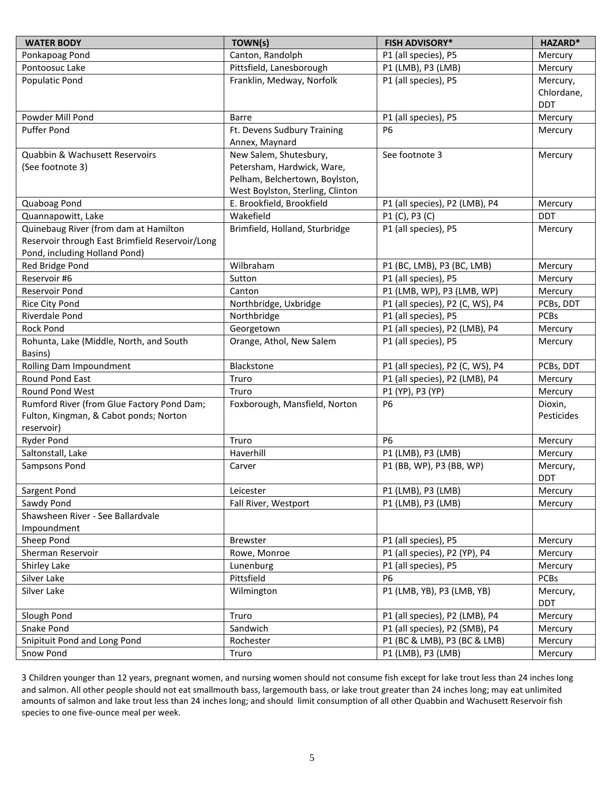| <b>WATER BODY</b>                               | TOWN(s)                                           | <b>FISH ADVISORY*</b>            | HAZARD*                |
|-------------------------------------------------|---------------------------------------------------|----------------------------------|------------------------|
| Ponkapoag Pond                                  | Canton, Randolph                                  | P1 (all species), P5             |                        |
| Pontoosuc Lake                                  | Pittsfield, Lanesborough                          | P1 (LMB), P3 (LMB)               |                        |
| Populatic Pond                                  | Franklin, Medway, Norfolk<br>P1 (all species), P5 |                                  | Mercury,               |
|                                                 |                                                   |                                  | Chlordane,             |
|                                                 |                                                   |                                  | <b>DDT</b>             |
| Powder Mill Pond                                | <b>Barre</b>                                      | P1 (all species), P5             | Mercury                |
| Puffer Pond                                     | Ft. Devens Sudbury Training                       | <b>P6</b>                        | Mercury                |
|                                                 | Annex, Maynard                                    |                                  |                        |
| Quabbin & Wachusett Reservoirs                  | New Salem, Shutesbury,                            | See footnote 3                   | Mercury                |
| (See footnote 3)                                | Petersham, Hardwick, Ware,                        |                                  |                        |
|                                                 | Pelham, Belchertown, Boylston,                    |                                  |                        |
|                                                 | West Boylston, Sterling, Clinton                  |                                  |                        |
| Quaboag Pond                                    | E. Brookfield, Brookfield                         | P1 (all species), P2 (LMB), P4   | Mercury                |
| Quannapowitt, Lake                              | Wakefield                                         | P1 (C), P3 (C)                   | <b>DDT</b>             |
| Quinebaug River (from dam at Hamilton           | Brimfield, Holland, Sturbridge                    | P1 (all species), P5             | Mercury                |
| Reservoir through East Brimfield Reservoir/Long |                                                   |                                  |                        |
| Pond, including Holland Pond)                   |                                                   |                                  |                        |
| Red Bridge Pond                                 | Wilbraham                                         | P1 (BC, LMB), P3 (BC, LMB)       | Mercury                |
| Reservoir #6                                    | Sutton                                            | P1 (all species), P5             | Mercury                |
| Reservoir Pond                                  | Canton                                            | P1 (LMB, WP), P3 (LMB, WP)       | Mercury                |
| Rice City Pond                                  | Northbridge, Uxbridge                             | P1 (all species), P2 (C, WS), P4 | PCBs, DDT              |
| Riverdale Pond                                  | Northbridge                                       | P1 (all species), P5             | <b>PCBs</b>            |
| <b>Rock Pond</b>                                | Georgetown                                        | P1 (all species), P2 (LMB), P4   | Mercury                |
| Rohunta, Lake (Middle, North, and South         | Orange, Athol, New Salem                          | P1 (all species), P5             | Mercury                |
| Basins)                                         |                                                   |                                  |                        |
| Rolling Dam Impoundment                         | Blackstone                                        | P1 (all species), P2 (C, WS), P4 | PCBs, DDT              |
| Round Pond East                                 | Truro                                             | P1 (all species), P2 (LMB), P4   | Mercury                |
| Round Pond West                                 | Truro                                             | P1 (YP), P3 (YP)                 | Mercury                |
| Rumford River (from Glue Factory Pond Dam;      | Foxborough, Mansfield, Norton                     | <b>P6</b>                        | Dioxin,                |
| Fulton, Kingman, & Cabot ponds; Norton          |                                                   |                                  | Pesticides             |
| reservoir)                                      |                                                   |                                  |                        |
| <b>Ryder Pond</b>                               | Truro                                             | P <sub>6</sub>                   | Mercury                |
| Saltonstall, Lake                               | Haverhill                                         | P1 (LMB), P3 (LMB)               | Mercury                |
| Sampsons Pond                                   | Carver                                            | P1 (BB, WP), P3 (BB, WP)         | Mercury,<br><b>DDT</b> |
| Sargent Pond                                    | Leicester                                         | P1 (LMB), P3 (LMB)               | Mercury                |
| Sawdy Pond                                      | Fall River, Westport                              | P1 (LMB), P3 (LMB)               | Mercury                |
| Shawsheen River - See Ballardvale               |                                                   |                                  |                        |
| Impoundment                                     |                                                   |                                  |                        |
| Sheep Pond                                      | <b>Brewster</b>                                   | P1 (all species), P5             | Mercury                |
| Sherman Reservoir                               | Rowe, Monroe                                      | P1 (all species), P2 (YP), P4    | Mercury                |
| Shirley Lake                                    | Lunenburg                                         | P1 (all species), P5             | Mercury                |
| Silver Lake                                     | Pittsfield                                        | <b>P6</b>                        | PCBs                   |
| Silver Lake                                     | Wilmington                                        | P1 (LMB, YB), P3 (LMB, YB)       | Mercury,<br>DDT        |
| Slough Pond                                     | Truro                                             | P1 (all species), P2 (LMB), P4   | Mercury                |
| Snake Pond                                      | Sandwich                                          | P1 (all species), P2 (SMB), P4   | Mercury                |
| Snipituit Pond and Long Pond                    | Rochester                                         | P1 (BC & LMB), P3 (BC & LMB)     | Mercury                |
| Snow Pond                                       | Truro                                             | P1 (LMB), P3 (LMB)               | Mercury                |

3 Children younger than 12 years, pregnant women, and nursing women should not consume fish except for lake trout less than 24 inches long and salmon. All other people should not eat smallmouth bass, largemouth bass, or lake trout greater than 24 inches long; may eat unlimited amounts of salmon and lake trout less than 24 inches long; and should limit consumption of all other Quabbin and Wachusett Reservoir fish species to one five-ounce meal per week.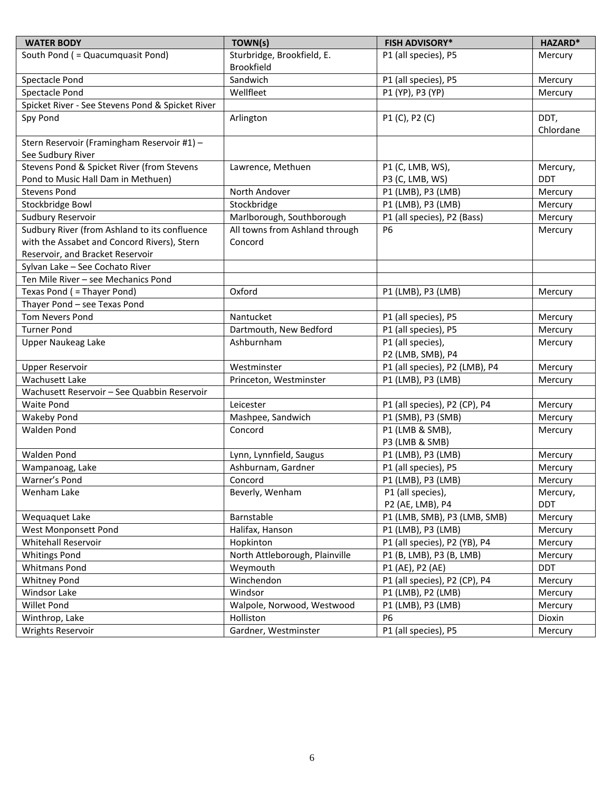| <b>WATER BODY</b>                                                | TOWN(s)<br><b>FISH ADVISORY*</b>                   |                               | HAZARD*    |  |
|------------------------------------------------------------------|----------------------------------------------------|-------------------------------|------------|--|
| South Pond ( = Quacumquasit Pond)                                | Sturbridge, Brookfield, E.<br>P1 (all species), P5 |                               | Mercury    |  |
|                                                                  | <b>Brookfield</b><br>P1 (all species), P5          |                               |            |  |
| Spectacle Pond                                                   | Sandwich                                           | Mercury                       |            |  |
| Spectacle Pond                                                   | Wellfleet                                          | P1 (YP), P3 (YP)              | Mercury    |  |
| Spicket River - See Stevens Pond & Spicket River                 |                                                    |                               |            |  |
| Spy Pond                                                         | Arlington                                          | P1 (C), P2 (C)                |            |  |
| Stern Reservoir (Framingham Reservoir #1) -<br>See Sudbury River |                                                    |                               |            |  |
| Stevens Pond & Spicket River (from Stevens                       | Lawrence, Methuen                                  | P1 (C, LMB, WS),              | Mercury,   |  |
| Pond to Music Hall Dam in Methuen)                               |                                                    | P3 (C, LMB, WS)               | <b>DDT</b> |  |
| <b>Stevens Pond</b>                                              | North Andover                                      | P1 (LMB), P3 (LMB)            | Mercury    |  |
| Stockbridge Bowl                                                 | Stockbridge                                        | P1 (LMB), P3 (LMB)            | Mercury    |  |
| Sudbury Reservoir                                                | Marlborough, Southborough                          | P1 (all species), P2 (Bass)   | Mercury    |  |
| Sudbury River (from Ashland to its confluence                    | All towns from Ashland through                     | <b>P6</b>                     | Mercury    |  |
| with the Assabet and Concord Rivers), Stern                      | Concord                                            |                               |            |  |
| Reservoir, and Bracket Reservoir                                 |                                                    |                               |            |  |
| Sylvan Lake - See Cochato River                                  |                                                    |                               |            |  |
| Ten Mile River - see Mechanics Pond                              |                                                    |                               |            |  |
| Texas Pond ( = Thayer Pond)                                      | Oxford                                             | P1 (LMB), P3 (LMB)            | Mercury    |  |
| Thayer Pond - see Texas Pond                                     |                                                    |                               |            |  |
| <b>Tom Nevers Pond</b>                                           | Nantucket                                          | P1 (all species), P5          | Mercury    |  |
| <b>Turner Pond</b>                                               | P1 (all species), P5<br>Dartmouth, New Bedford     |                               | Mercury    |  |
| <b>Upper Naukeag Lake</b>                                        | Ashburnham                                         | P1 (all species),             | Mercury    |  |
|                                                                  |                                                    | P2 (LMB, SMB), P4             |            |  |
| <b>Upper Reservoir</b>                                           | P1 (all species), P2 (LMB), P4<br>Westminster      |                               | Mercury    |  |
| Wachusett Lake                                                   | Princeton, Westminster<br>P1 (LMB), P3 (LMB)       |                               | Mercury    |  |
| Wachusett Reservoir - See Quabbin Reservoir                      |                                                    |                               |            |  |
| <b>Waite Pond</b>                                                | P1 (all species), P2 (CP), P4<br>Leicester         |                               | Mercury    |  |
| <b>Wakeby Pond</b>                                               | P1 (SMB), P3 (SMB)<br>Mashpee, Sandwich            |                               | Mercury    |  |
| <b>Walden Pond</b>                                               | Concord                                            | P1 (LMB & SMB),               | Mercury    |  |
|                                                                  |                                                    | P3 (LMB & SMB)                |            |  |
| <b>Walden Pond</b>                                               | Lynn, Lynnfield, Saugus<br>P1 (LMB), P3 (LMB)      |                               | Mercury    |  |
| Wampanoag, Lake                                                  | Ashburnam, Gardner                                 | P1 (all species), P5          | Mercury    |  |
| Warner's Pond                                                    | Concord                                            | P1 (LMB), P3 (LMB)            | Mercury    |  |
| Wenham Lake                                                      | Beverly, Wenham                                    | P1 (all species),             | Mercury,   |  |
|                                                                  |                                                    | P2 (AE, LMB), P4              | <b>DDT</b> |  |
| Wequaquet Lake                                                   | Barnstable<br>P1 (LMB, SMB), P3 (LMB, SMB)         |                               | Mercury    |  |
| West Monponsett Pond                                             | Halifax, Hanson                                    | P1 (LMB), P3 (LMB)            | Mercury    |  |
| Whitehall Reservoir                                              | Hopkinton                                          | P1 (all species), P2 (YB), P4 | Mercury    |  |
| <b>Whitings Pond</b>                                             | North Attleborough, Plainville                     | P1 (B, LMB), P3 (B, LMB)      | Mercury    |  |
| <b>Whitmans Pond</b>                                             | Weymouth                                           | P1 (AE), P2 (AE)              | <b>DDT</b> |  |
| <b>Whitney Pond</b>                                              | Winchendon                                         | P1 (all species), P2 (CP), P4 | Mercury    |  |
| Windsor Lake                                                     | Windsor                                            | P1 (LMB), P2 (LMB)            | Mercury    |  |
| Willet Pond                                                      | Walpole, Norwood, Westwood                         | P1 (LMB), P3 (LMB)            | Mercury    |  |
| Winthrop, Lake                                                   | Holliston                                          | <b>P6</b>                     | Dioxin     |  |
| Wrights Reservoir                                                | P1 (all species), P5<br>Gardner, Westminster       |                               |            |  |